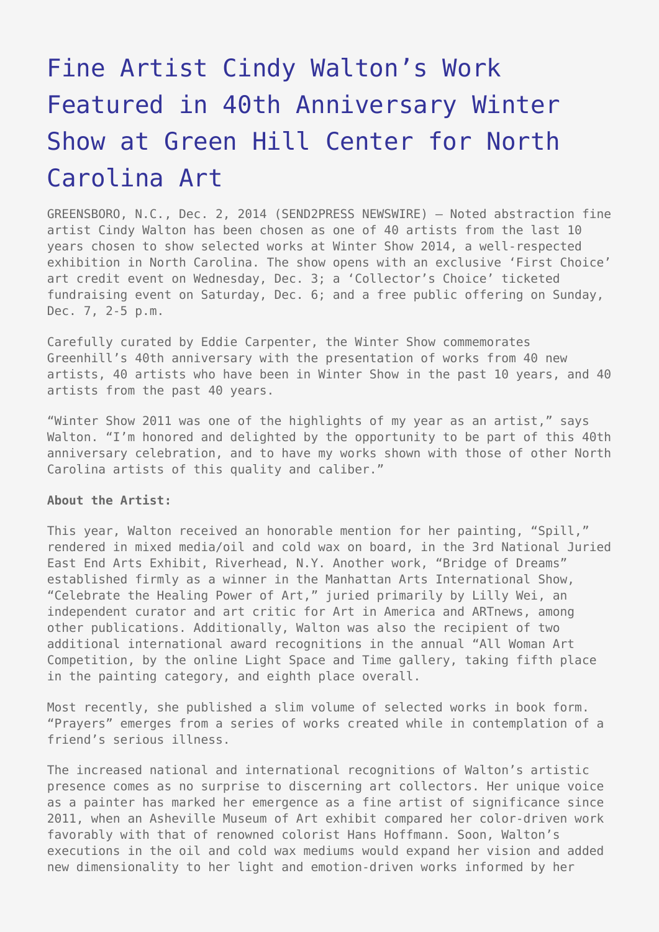## [Fine Artist Cindy Walton's Work](https://www.send2press.com/wire/fine-artist-cindy-walton-work-featured-40th-anniversary-winter-show-green-hill-center-north-carolina-art-2014-12-1202-004/) [Featured in 40th Anniversary Winter](https://www.send2press.com/wire/fine-artist-cindy-walton-work-featured-40th-anniversary-winter-show-green-hill-center-north-carolina-art-2014-12-1202-004/) [Show at Green Hill Center for North](https://www.send2press.com/wire/fine-artist-cindy-walton-work-featured-40th-anniversary-winter-show-green-hill-center-north-carolina-art-2014-12-1202-004/) [Carolina Art](https://www.send2press.com/wire/fine-artist-cindy-walton-work-featured-40th-anniversary-winter-show-green-hill-center-north-carolina-art-2014-12-1202-004/)

GREENSBORO, N.C., Dec. 2, 2014 (SEND2PRESS NEWSWIRE) — Noted abstraction fine artist Cindy Walton has been chosen as one of 40 artists from the last 10 years chosen to show selected works at Winter Show 2014, a well-respected exhibition in North Carolina. The show opens with an exclusive 'First Choice' art credit event on Wednesday, Dec. 3; a 'Collector's Choice' ticketed fundraising event on Saturday, Dec. 6; and a free public offering on Sunday, Dec. 7, 2-5 p.m.

Carefully curated by Eddie Carpenter, the Winter Show commemorates Greenhill's 40th anniversary with the presentation of works from 40 new artists, 40 artists who have been in Winter Show in the past 10 years, and 40 artists from the past 40 years.

"Winter Show 2011 was one of the highlights of my year as an artist," says Walton. "I'm honored and delighted by the opportunity to be part of this 40th anniversary celebration, and to have my works shown with those of other North Carolina artists of this quality and caliber."

## **About the Artist:**

This year, Walton received an honorable mention for her painting, "Spill," rendered in mixed media/oil and cold wax on board, in the 3rd National Juried East End Arts Exhibit, Riverhead, N.Y. Another work, "Bridge of Dreams" established firmly as a winner in the Manhattan Arts International Show, "Celebrate the Healing Power of Art," juried primarily by Lilly Wei, an independent curator and art critic for Art in America and ARTnews, among other publications. Additionally, Walton was also the recipient of two additional international award recognitions in the annual "All Woman Art Competition, by the online Light Space and Time gallery, taking fifth place in the painting category, and eighth place overall.

Most recently, she published a slim volume of selected works in book form. "Prayers" emerges from a series of works created while in contemplation of a friend's serious illness.

The increased national and international recognitions of Walton's artistic presence comes as no surprise to discerning art collectors. Her unique voice as a painter has marked her emergence as a fine artist of significance since 2011, when an Asheville Museum of Art exhibit compared her color-driven work favorably with that of renowned colorist Hans Hoffmann. Soon, Walton's executions in the oil and cold wax mediums would expand her vision and added new dimensionality to her light and emotion-driven works informed by her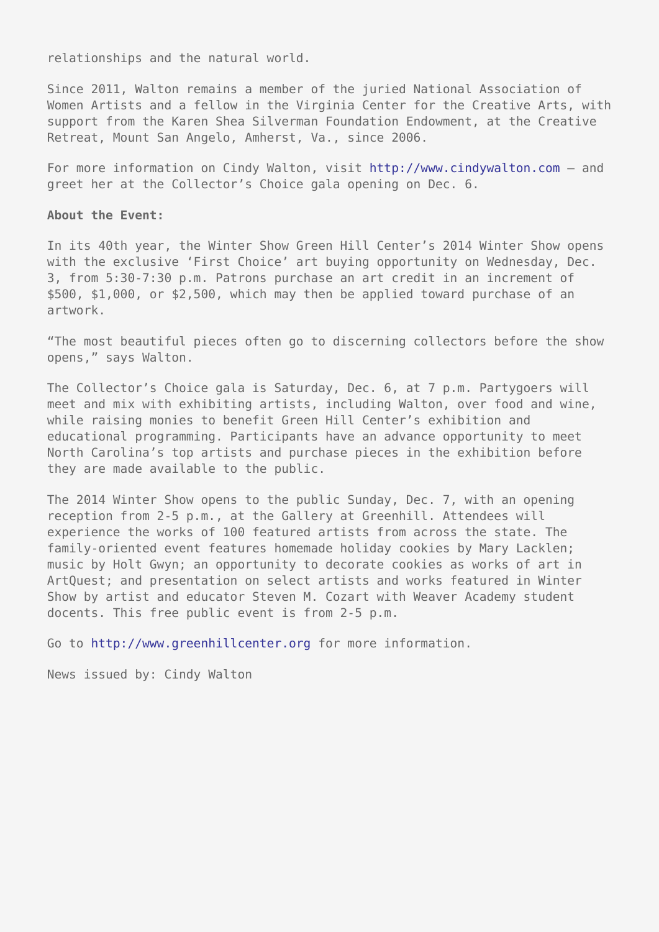relationships and the natural world.

Since 2011, Walton remains a member of the juried National Association of Women Artists and a fellow in the Virginia Center for the Creative Arts, with support from the Karen Shea Silverman Foundation Endowment, at the Creative Retreat, Mount San Angelo, Amherst, Va., since 2006.

For more information on Cindy Walton, visit <http://www.cindywalton.com> – and greet her at the Collector's Choice gala opening on Dec. 6.

## **About the Event:**

In its 40th year, the Winter Show Green Hill Center's 2014 Winter Show opens with the exclusive 'First Choice' art buying opportunity on Wednesday, Dec. 3, from 5:30-7:30 p.m. Patrons purchase an art credit in an increment of \$500, \$1,000, or \$2,500, which may then be applied toward purchase of an artwork.

"The most beautiful pieces often go to discerning collectors before the show opens," says Walton.

The Collector's Choice gala is Saturday, Dec. 6, at 7 p.m. Partygoers will meet and mix with exhibiting artists, including Walton, over food and wine, while raising monies to benefit Green Hill Center's exhibition and educational programming. Participants have an advance opportunity to meet North Carolina's top artists and purchase pieces in the exhibition before they are made available to the public.

The 2014 Winter Show opens to the public Sunday, Dec. 7, with an opening reception from 2-5 p.m., at the Gallery at Greenhill. Attendees will experience the works of 100 featured artists from across the state. The family-oriented event features homemade holiday cookies by Mary Lacklen; music by Holt Gwyn; an opportunity to decorate cookies as works of art in ArtQuest; and presentation on select artists and works featured in Winter Show by artist and educator Steven M. Cozart with Weaver Academy student docents. This free public event is from 2-5 p.m.

Go to<http://www.greenhillcenter.org>for more information.

News issued by: Cindy Walton